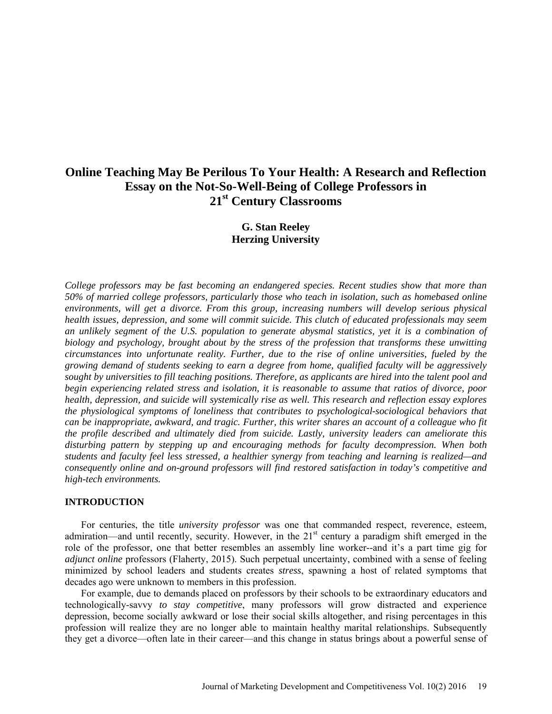# **Online Teaching May Be Perilous To Your Health: A Research and Reflection Essay on the Not-So-Well-Being of College Professors in 21st Century Classrooms**

## **G. Stan Reeley Herzing University**

*College professors may be fast becoming an endangered species. Recent studies show that more than 50% of married college professors, particularly those who teach in isolation, such as homebased online environments, will get a divorce. From this group, increasing numbers will develop serious physical health issues, depression, and some will commit suicide. This clutch of educated professionals may seem an unlikely segment of the U.S. population to generate abysmal statistics, yet it is a combination of biology and psychology, brought about by the stress of the profession that transforms these unwitting circumstances into unfortunate reality. Further, due to the rise of online universities, fueled by the growing demand of students seeking to earn a degree from home, qualified faculty will be aggressively sought by universities to fill teaching positions. Therefore, as applicants are hired into the talent pool and begin experiencing related stress and isolation, it is reasonable to assume that ratios of divorce, poor health, depression, and suicide will systemically rise as well. This research and reflection essay explores the physiological symptoms of loneliness that contributes to psychological-sociological behaviors that can be inappropriate, awkward, and tragic. Further, this writer shares an account of a colleague who fit the profile described and ultimately died from suicide. Lastly, university leaders can ameliorate this disturbing pattern by stepping up and encouraging methods for faculty decompression. When both students and faculty feel less stressed, a healthier synergy from teaching and learning is realized—and consequently online and on-ground professors will find restored satisfaction in today's competitive and high-tech environments.*

#### **INTRODUCTION**

For centuries, the title *university professor* was one that commanded respect, reverence, esteem, admiration—and until recently, security. However, in the  $21<sup>st</sup>$  century a paradigm shift emerged in the role of the professor, one that better resembles an assembly line worker--and it's a part time gig for *adjunct online* professors (Flaherty, 2015). Such perpetual uncertainty, combined with a sense of feeling minimized by school leaders and students creates *stress*, spawning a host of related symptoms that decades ago were unknown to members in this profession.

For example, due to demands placed on professors by their schools to be extraordinary educators and technologically-savvy *to stay competitive*, many professors will grow distracted and experience depression, become socially awkward or lose their social skills altogether, and rising percentages in this profession will realize they are no longer able to maintain healthy marital relationships. Subsequently they get a divorce—often late in their career—and this change in status brings about a powerful sense of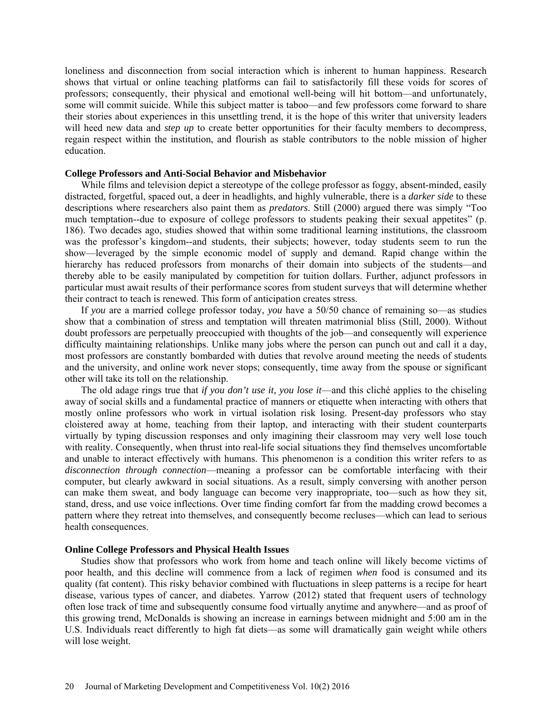loneliness and disconnection from social interaction which is inherent to human happiness. Research shows that virtual or online teaching platforms can fail to satisfactorily fill these voids for scores of professors; consequently, their physical and emotional well-being will hit bottom—and unfortunately, some will commit suicide. While this subject matter is taboo—and few professors come forward to share their stories about experiences in this unsettling trend, it is the hope of this writer that university leaders will heed new data and *step up* to create better opportunities for their faculty members to decompress, regain respect within the institution, and flourish as stable contributors to the noble mission of higher education.

#### **College Professors and Anti-Social Behavior and Misbehavior**

While films and television depict a stereotype of the college professor as foggy, absent-minded, easily distracted, forgetful, spaced out, a deer in headlights, and highly vulnerable, there is a *darker side* to these descriptions where researchers also paint them as *predators*. Still (2000) argued there was simply "Too much temptation--due to exposure of college professors to students peaking their sexual appetites" (p. 186). Two decades ago, studies showed that within some traditional learning institutions, the classroom was the professor's kingdom--and students, their subjects; however, today students seem to run the show—leveraged by the simple economic model of supply and demand. Rapid change within the hierarchy has reduced professors from monarchs of their domain into subjects of the students—and thereby able to be easily manipulated by competition for tuition dollars. Further, adjunct professors in particular must await results of their performance scores from student surveys that will determine whether their contract to teach is renewed. This form of anticipation creates stress.

If *you* are a married college professor today, *you* have a 50/50 chance of remaining so—as studies show that a combination of stress and temptation will threaten matrimonial bliss (Still, 2000). Without doubt professors are perpetually preoccupied with thoughts of the job—and consequently will experience difficulty maintaining relationships. Unlike many jobs where the person can punch out and call it a day, most professors are constantly bombarded with duties that revolve around meeting the needs of students and the university, and online work never stops; consequently, time away from the spouse or significant other will take its toll on the relationship.

The old adage rings true that *if you don't use it, you lose it*—and this cliché applies to the chiseling away of social skills and a fundamental practice of manners or etiquette when interacting with others that mostly online professors who work in virtual isolation risk losing. Present-day professors who stay cloistered away at home, teaching from their laptop, and interacting with their student counterparts virtually by typing discussion responses and only imagining their classroom may very well lose touch with reality. Consequently, when thrust into real-life social situations they find themselves uncomfortable and unable to interact effectively with humans. This phenomenon is a condition this writer refers to as *disconnection through connection*—meaning a professor can be comfortable interfacing with their computer, but clearly awkward in social situations. As a result, simply conversing with another person can make them sweat, and body language can become very inappropriate, too—such as how they sit, stand, dress, and use voice inflections. Over time finding comfort far from the madding crowd becomes a pattern where they retreat into themselves, and consequently become recluses—which can lead to serious health consequences.

#### **Online College Professors and Physical Health Issues**

Studies show that professors who work from home and teach online will likely become victims of poor health, and this decline will commence from a lack of regimen *when* food is consumed and its quality (fat content). This risky behavior combined with fluctuations in sleep patterns is a recipe for heart disease, various types of cancer, and diabetes. Yarrow (2012) stated that frequent users of technology often lose track of time and subsequently consume food virtually anytime and anywhere—and as proof of this growing trend, McDonalds is showing an increase in earnings between midnight and 5:00 am in the U.S. Individuals react differently to high fat diets—as some will dramatically gain weight while others will lose weight.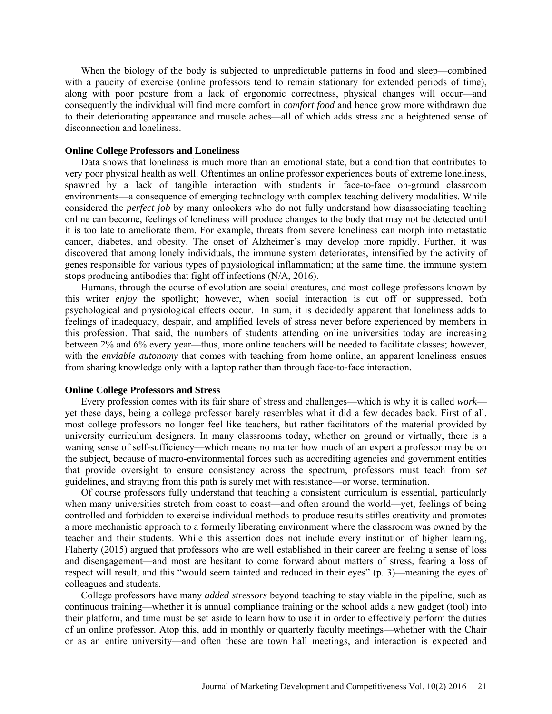When the biology of the body is subjected to unpredictable patterns in food and sleep—combined with a paucity of exercise (online professors tend to remain stationary for extended periods of time), along with poor posture from a lack of ergonomic correctness, physical changes will occur—and consequently the individual will find more comfort in *comfort food* and hence grow more withdrawn due to their deteriorating appearance and muscle aches—all of which adds stress and a heightened sense of disconnection and loneliness.

#### **Online College Professors and Loneliness**

Data shows that loneliness is much more than an emotional state, but a condition that contributes to very poor physical health as well. Oftentimes an online professor experiences bouts of extreme loneliness, spawned by a lack of tangible interaction with students in face-to-face on-ground classroom environments—a consequence of emerging technology with complex teaching delivery modalities. While considered the *perfect job* by many onlookers who do not fully understand how disassociating teaching online can become, feelings of loneliness will produce changes to the body that may not be detected until it is too late to ameliorate them. For example, threats from severe loneliness can morph into metastatic cancer, diabetes, and obesity. The onset of Alzheimer's may develop more rapidly. Further, it was discovered that among lonely individuals, the immune system deteriorates, intensified by the activity of genes responsible for various types of physiological inflammation; at the same time, the immune system stops producing antibodies that fight off infections (N/A, 2016).

Humans, through the course of evolution are social creatures, and most college professors known by this writer *enjoy* the spotlight; however, when social interaction is cut off or suppressed, both psychological and physiological effects occur. In sum, it is decidedly apparent that loneliness adds to feelings of inadequacy, despair, and amplified levels of stress never before experienced by members in this profession. That said, the numbers of students attending online universities today are increasing between 2% and 6% every year—thus, more online teachers will be needed to facilitate classes; however, with the *enviable autonomy* that comes with teaching from home online, an apparent loneliness ensues from sharing knowledge only with a laptop rather than through face-to-face interaction.

#### **Online College Professors and Stress**

Every profession comes with its fair share of stress and challenges—which is why it is called *work* yet these days, being a college professor barely resembles what it did a few decades back. First of all, most college professors no longer feel like teachers, but rather facilitators of the material provided by university curriculum designers. In many classrooms today, whether on ground or virtually, there is a waning sense of self-sufficiency—which means no matter how much of an expert a professor may be on the subject, because of macro-environmental forces such as accrediting agencies and government entities that provide oversight to ensure consistency across the spectrum, professors must teach from *set* guidelines, and straying from this path is surely met with resistance—or worse, termination.

Of course professors fully understand that teaching a consistent curriculum is essential, particularly when many universities stretch from coast to coast—and often around the world—yet, feelings of being controlled and forbidden to exercise individual methods to produce results stifles creativity and promotes a more mechanistic approach to a formerly liberating environment where the classroom was owned by the teacher and their students. While this assertion does not include every institution of higher learning, Flaherty (2015) argued that professors who are well established in their career are feeling a sense of loss and disengagement—and most are hesitant to come forward about matters of stress, fearing a loss of respect will result, and this "would seem tainted and reduced in their eyes" (p. 3)—meaning the eyes of colleagues and students.

College professors have many *added stressors* beyond teaching to stay viable in the pipeline, such as continuous training—whether it is annual compliance training or the school adds a new gadget (tool) into their platform, and time must be set aside to learn how to use it in order to effectively perform the duties of an online professor. Atop this, add in monthly or quarterly faculty meetings—whether with the Chair or as an entire university—and often these are town hall meetings, and interaction is expected and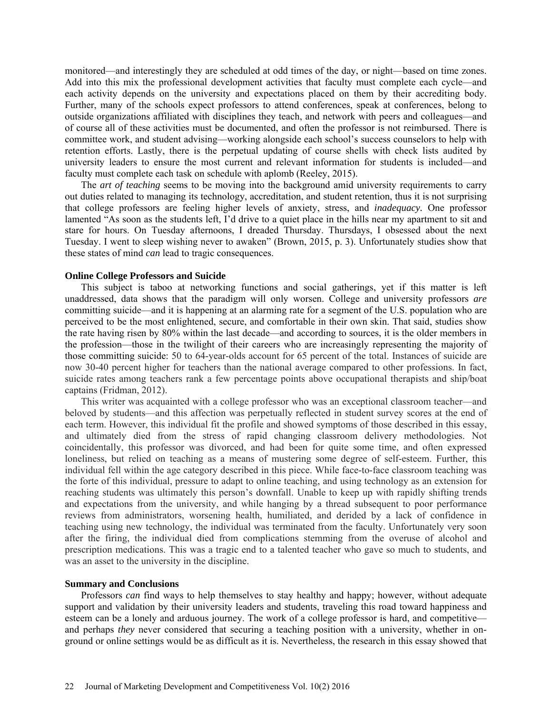monitored—and interestingly they are scheduled at odd times of the day, or night—based on time zones. Add into this mix the professional development activities that faculty must complete each cycle—and each activity depends on the university and expectations placed on them by their accrediting body. Further, many of the schools expect professors to attend conferences, speak at conferences, belong to outside organizations affiliated with disciplines they teach, and network with peers and colleagues—and of course all of these activities must be documented, and often the professor is not reimbursed. There is committee work, and student advising—working alongside each school's success counselors to help with retention efforts. Lastly, there is the perpetual updating of course shells with check lists audited by university leaders to ensure the most current and relevant information for students is included—and faculty must complete each task on schedule with aplomb (Reeley, 2015).

The *art of teaching* seems to be moving into the background amid university requirements to carry out duties related to managing its technology, accreditation, and student retention, thus it is not surprising that college professors are feeling higher levels of anxiety, stress, and *inadequacy.* One professor lamented "As soon as the students left, I'd drive to a quiet place in the hills near my apartment to sit and stare for hours. On Tuesday afternoons, I dreaded Thursday. Thursdays, I obsessed about the next Tuesday. I went to sleep wishing never to awaken" (Brown, 2015, p. 3). Unfortunately studies show that these states of mind *can* lead to tragic consequences.

#### **Online College Professors and Suicide**

This subject is taboo at networking functions and social gatherings, yet if this matter is left unaddressed, data shows that the paradigm will only worsen. College and university professors *are* committing suicide—and it is happening at an alarming rate for a segment of the U.S. population who are perceived to be the most enlightened, secure, and comfortable in their own skin. That said, studies show the rate having risen by 80% within the last decade—and according to sources, it is the older members in the profession—those in the twilight of their careers who are increasingly representing the majority of those committing suicide: 50 to 64-year-olds account for 65 percent of the total. Instances of suicide are now 30-40 percent higher for teachers than the national average compared to other professions. In fact, suicide rates among teachers rank a few percentage points above occupational therapists and ship/boat captains (Fridman, 2012).

This writer was acquainted with a college professor who was an exceptional classroom teacher—and beloved by students—and this affection was perpetually reflected in student survey scores at the end of each term. However, this individual fit the profile and showed symptoms of those described in this essay, and ultimately died from the stress of rapid changing classroom delivery methodologies. Not coincidentally, this professor was divorced, and had been for quite some time, and often expressed loneliness, but relied on teaching as a means of mustering some degree of self-esteem. Further, this individual fell within the age category described in this piece. While face-to-face classroom teaching was the forte of this individual, pressure to adapt to online teaching, and using technology as an extension for reaching students was ultimately this person's downfall. Unable to keep up with rapidly shifting trends and expectations from the university, and while hanging by a thread subsequent to poor performance reviews from administrators, worsening health, humiliated, and derided by a lack of confidence in teaching using new technology, the individual was terminated from the faculty. Unfortunately very soon after the firing, the individual died from complications stemming from the overuse of alcohol and prescription medications. This was a tragic end to a talented teacher who gave so much to students, and was an asset to the university in the discipline.

#### **Summary and Conclusions**

Professors *can* find ways to help themselves to stay healthy and happy; however, without adequate support and validation by their university leaders and students, traveling this road toward happiness and esteem can be a lonely and arduous journey. The work of a college professor is hard, and competitive and perhaps *they* never considered that securing a teaching position with a university, whether in onground or online settings would be as difficult as it is. Nevertheless, the research in this essay showed that